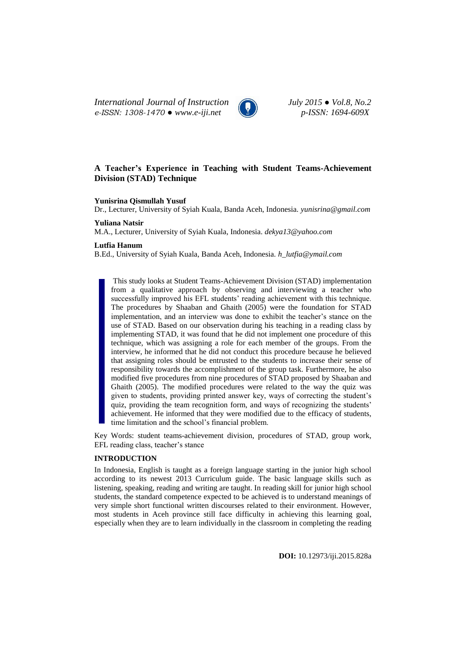*International Journal of Instruction July 2015 ● Vol.8, No.2 e-ISSN: 1308-1470 ● www.e-iji.net p-ISSN: 1694-609X*



# **A Teacher's Experience in Teaching with Student Teams-Achievement Division (STAD) Technique**

### **Yunisrina Qismullah Yusuf**

Dr., Lecturer, University of Syiah Kuala, Banda Aceh, Indonesia. *yunisrina@gmail.com*

### **Yuliana Natsir**

M.A., Lecturer, University of Syiah Kuala, Indonesia. *dekya13@yahoo.com* 

#### **Lutfia Hanum**

B.Ed., University of Syiah Kuala, Banda Aceh, Indonesia*. h\_lutfia@ymail.com*

This study looks at Student Teams-Achievement Division (STAD) implementation from a qualitative approach by observing and interviewing a teacher who successfully improved his EFL students' reading achievement with this technique. The procedures by Shaaban and Ghaith (2005) were the foundation for STAD implementation, and an interview was done to exhibit the teacher's stance on the use of STAD. Based on our observation during his teaching in a reading class by implementing STAD, it was found that he did not implement one procedure of this technique, which was assigning a role for each member of the groups. From the interview, he informed that he did not conduct this procedure because he believed that assigning roles should be entrusted to the students to increase their sense of responsibility towards the accomplishment of the group task. Furthermore, he also modified five procedures from nine procedures of STAD proposed by Shaaban and Ghaith (2005). The modified procedures were related to the way the quiz was given to students, providing printed answer key, ways of correcting the student's quiz, providing the team recognition form, and ways of recognizing the students' achievement. He informed that they were modified due to the efficacy of students, time limitation and the school's financial problem.

Key Words: student teams-achievement division, procedures of STAD, group work, EFL reading class, teacher's stance

## **INTRODUCTION**

In Indonesia, English is taught as a foreign language starting in the junior high school according to its newest 2013 Curriculum guide. The basic language skills such as listening, speaking, reading and writing are taught. In reading skill for junior high school students, the standard competence expected to be achieved is to understand meanings of very simple short functional written discourses related to their environment. However, most students in Aceh province still face difficulty in achieving this learning goal, especially when they are to learn individually in the classroom in completing the reading

**DOI:** 10.12973/iji.2015.828a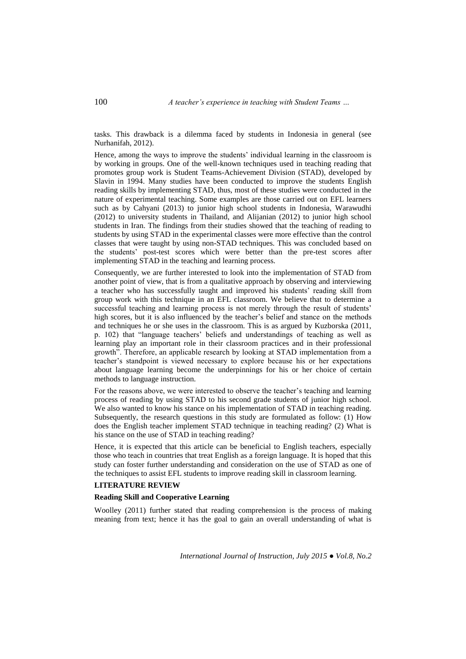tasks. This drawback is a dilemma faced by students in Indonesia in general (see Nurhanifah, 2012).

Hence, among the ways to improve the students' individual learning in the classroom is by working in groups. One of the well-known techniques used in teaching reading that promotes group work is Student Teams-Achievement Division (STAD), developed by Slavin in 1994. Many studies have been conducted to improve the students English reading skills by implementing STAD, thus, most of these studies were conducted in the nature of experimental teaching. Some examples are those carried out on EFL learners such as by Cahyani (2013) to junior high school students in Indonesia, Warawudhi (2012) to university students in Thailand, and Alijanian (2012) to junior high school students in Iran. The findings from their studies showed that the teaching of reading to students by using STAD in the experimental classes were more effective than the control classes that were taught by using non-STAD techniques. This was concluded based on the students' post-test scores which were better than the pre-test scores after implementing STAD in the teaching and learning process.

Consequently, we are further interested to look into the implementation of STAD from another point of view, that is from a qualitative approach by observing and interviewing a teacher who has successfully taught and improved his students' reading skill from group work with this technique in an EFL classroom. We believe that to determine a successful teaching and learning process is not merely through the result of students' high scores, but it is also influenced by the teacher's belief and stance on the methods and techniques he or she uses in the classroom. This is as argued by Kuzborska (2011, p. 102) that "language teachers' beliefs and understandings of teaching as well as learning play an important role in their classroom practices and in their professional growth". Therefore, an applicable research by looking at STAD implementation from a teacher's standpoint is viewed necessary to explore because his or her expectations about language learning become the underpinnings for his or her choice of certain methods to language instruction.

For the reasons above, we were interested to observe the teacher's teaching and learning process of reading by using STAD to his second grade students of junior high school. We also wanted to know his stance on his implementation of STAD in teaching reading. Subsequently, the research questions in this study are formulated as follow: (1) How does the English teacher implement STAD technique in teaching reading? (2) What is his stance on the use of STAD in teaching reading?

Hence, it is expected that this article can be beneficial to English teachers, especially those who teach in countries that treat English as a foreign language. It is hoped that this study can foster further understanding and consideration on the use of STAD as one of the techniques to assist EFL students to improve reading skill in classroom learning.

## **LITERATURE REVIEW**

### **Reading Skill and Cooperative Learning**

Woolley (2011) further stated that reading comprehension is the process of making meaning from text; hence it has the goal to gain an overall understanding of what is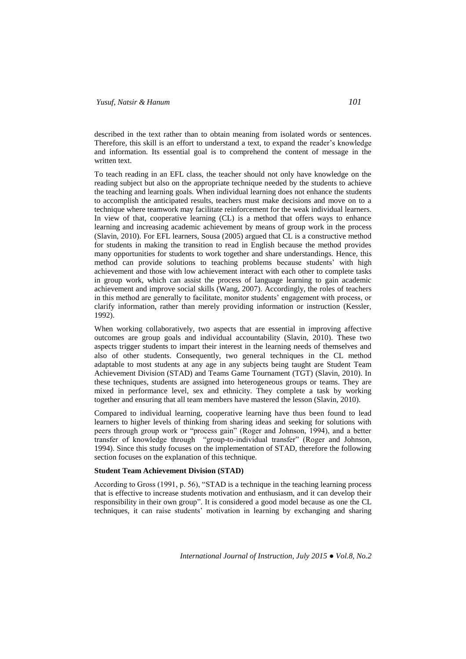described in the text rather than to obtain meaning from isolated words or sentences. Therefore, this skill is an effort to understand a text, to expand the reader's knowledge and information. Its essential goal is to comprehend the content of message in the written text.

To teach reading in an EFL class, the teacher should not only have knowledge on the reading subject but also on the appropriate technique needed by the students to achieve the teaching and learning goals. When individual learning does not enhance the students to accomplish the anticipated results, teachers must make decisions and move on to a technique where teamwork may facilitate reinforcement for the weak individual learners. In view of that, cooperative learning (CL) is a method that offers ways to enhance learning and increasing academic achievement by means of group work in the process (Slavin, 2010). For EFL learners, Sousa (2005) argued that CL is a constructive method for students in making the transition to read in English because the method provides many opportunities for students to work together and share understandings. Hence, this method can provide solutions to teaching problems because students' with high achievement and those with low achievement interact with each other to complete tasks in group work, which can assist the process of language learning to gain academic achievement and improve social skills (Wang, 2007). Accordingly, the roles of teachers in this method are generally to facilitate, monitor students' engagement with process, or clarify information, rather than merely providing information or instruction (Kessler, 1992).

When working collaboratively, two aspects that are essential in improving affective outcomes are group goals and individual accountability (Slavin, 2010). These two aspects trigger students to impart their interest in the learning needs of themselves and also of other students. Consequently, two general techniques in the CL method adaptable to most students at any age in any subjects being taught are Student Team Achievement Division (STAD) and Teams Game Tournament (TGT) (Slavin, 2010). In these techniques, students are assigned into heterogeneous groups or teams. They are mixed in performance level, sex and ethnicity. They complete a task by working together and ensuring that all team members have mastered the lesson (Slavin, 2010).

Compared to individual learning, cooperative learning have thus been found to lead learners to higher levels of thinking from sharing ideas and seeking for solutions with peers through group work or "process gain" (Roger and Johnson, 1994), and a better transfer of knowledge through "group-to-individual transfer" (Roger and Johnson, 1994). Since this study focuses on the implementation of STAD, therefore the following section focuses on the explanation of this technique.

#### **Student Team Achievement Division (STAD)**

According to Gross (1991, p. 56), "STAD is a technique in the teaching learning process that is effective to increase students motivation and enthusiasm, and it can develop their responsibility in their own group". It is considered a good model because as one the CL techniques, it can raise students' motivation in learning by exchanging and sharing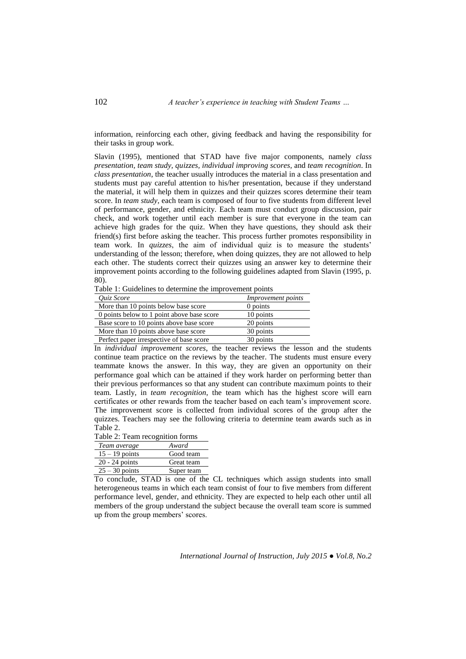information, reinforcing each other, giving feedback and having the responsibility for their tasks in group work.

Slavin (1995), mentioned that STAD have five major components, namely *class presentation, team study, quizzes, individual improving scores,* and *team recognition*. In *class presentation*, the teacher usually introduces the material in a class presentation and students must pay careful attention to his/her presentation, because if they understand the material, it will help them in quizzes and their quizzes scores determine their team score. In *team study*, each team is composed of four to five students from different level of performance, gender, and ethnicity. Each team must conduct group discussion, pair check, and work together until each member is sure that everyone in the team can achieve high grades for the quiz. When they have questions, they should ask their friend(s) first before asking the teacher. This process further promotes responsibility in team work. In *quizzes*, the aim of individual quiz is to measure the students' understanding of the lesson; therefore, when doing quizzes, they are not allowed to help each other. The students correct their quizzes using an answer key to determine their improvement points according to the following guidelines adapted from Slavin (1995, p. 80).

Table 1: Guidelines to determine the improvement points  $Our answer is a function of the function.$ *Quiz Score Improvement points*

| $Q$ <i>uiz</i> score                       | <i>Improvement points</i> |
|--------------------------------------------|---------------------------|
| More than 10 points below base score       | 0 points                  |
| 0 points below to 1 point above base score | 10 points                 |
| Base score to 10 points above base score   | 20 points                 |
| More than 10 points above base score       | 30 points                 |
| Perfect paper irrespective of base score   | 30 points                 |

In *individual improvement scores*, the teacher reviews the lesson and the students continue team practice on the reviews by the teacher. The students must ensure every teammate knows the answer. In this way, they are given an opportunity on their performance goal which can be attained if they work harder on performing better than their previous performances so that any student can contribute maximum points to their team. Lastly, in *team recognition*, the team which has the highest score will earn certificates or other rewards from the teacher based on each team's improvement score. The improvement score is collected from individual scores of the group after the quizzes. Teachers may see the following criteria to determine team awards such as in Table 2.

Table 2: Team recognition forms

| Team average     | Award      |
|------------------|------------|
| $15 - 19$ points | Good team  |
| $20 - 24$ points | Great team |
| $25 - 30$ points | Super team |

To conclude, STAD is one of the CL techniques which assign students into small heterogeneous teams in which each team consist of four to five members from different performance level, gender, and ethnicity. They are expected to help each other until all members of the group understand the subject because the overall team score is summed up from the group members' scores.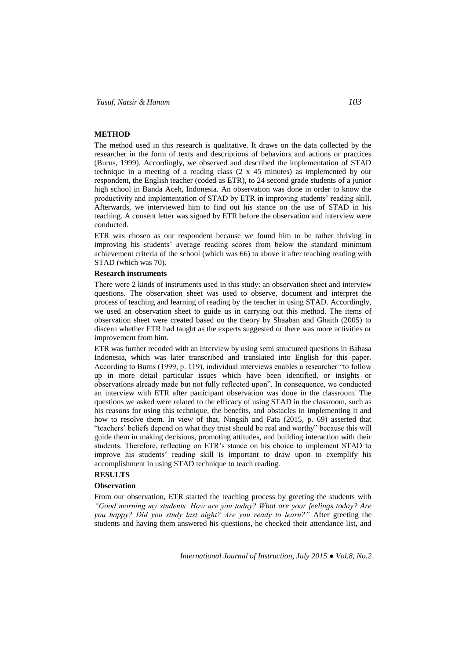## **METHOD**

The method used in this research is qualitative. It draws on the data collected by the researcher in the form of texts and descriptions of behaviors and actions or practices (Burns, 1999). Accordingly, we observed and described the implementation of STAD technique in a meeting of a reading class (2 x 45 minutes) as implemented by our respondent, the English teacher (coded as ETR), to 24 second grade students of a junior high school in Banda Aceh, Indonesia. An observation was done in order to know the productivity and implementation of STAD by ETR in improving students' reading skill. Afterwards, we interviewed him to find out his stance on the use of STAD in his teaching. A consent letter was signed by ETR before the observation and interview were conducted.

ETR was chosen as our respondent because we found him to be rather thriving in improving his students' average reading scores from below the standard minimum achievement criteria of the school (which was 66) to above it after teaching reading with STAD (which was 70).

### **Research instruments**

There were 2 kinds of instruments used in this study: an observation sheet and interview questions. The observation sheet was used to observe, document and interpret the process of teaching and learning of reading by the teacher in using STAD. Accordingly, we used an observation sheet to guide us in carrying out this method. The items of observation sheet were created based on the theory by Shaaban and Ghaith (2005) to discern whether ETR had taught as the experts suggested or there was more activities or improvement from him.

ETR was further recoded with an interview by using semi structured questions in Bahasa Indonesia, which was later transcribed and translated into English for this paper. According to Burns (1999, p. 119), individual interviews enables a researcher "to follow up in more detail particular issues which have been identified, or insights or observations already made but not fully reflected upon". In consequence, we conducted an interview with ETR after participant observation was done in the classroom. The questions we asked were related to the efficacy of using STAD in the classroom, such as his reasons for using this technique, the benefits, and obstacles in implementing it and how to resolve them. In view of that, Ningsih and Fata (2015, p. 69) asserted that "teachers' beliefs depend on what they trust should be real and worthy" because this will guide them in making decisions, promoting attitudes, and building interaction with their students. Therefore, reflecting on ETR's stance on his choice to implement STAD to improve his students' reading skill is important to draw upon to exemplify his accomplishment in using STAD technique to teach reading.

# **RESULTS**

### **Observation**

From our observation, ETR started the teaching process by greeting the students with *"Good morning my students. How are you today? What are your feelings today? Are you happy? Did you study last night? Are you ready to learn?"* After greeting the students and having them answered his questions, he checked their attendance list, and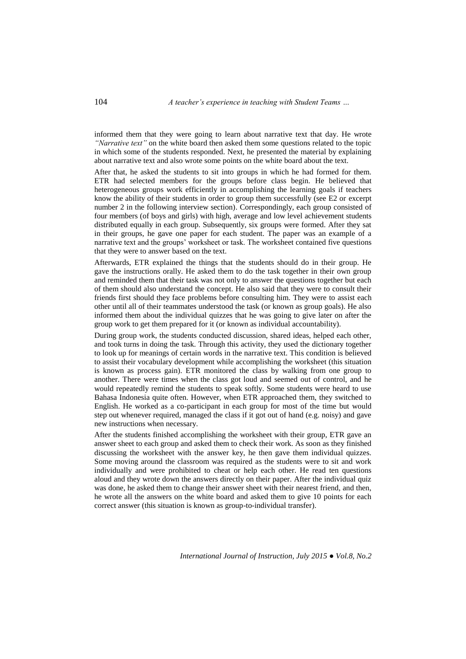104 *A teacher's experience in teaching with Student Teams …*

informed them that they were going to learn about narrative text that day. He wrote *"Narrative text"* on the white board then asked them some questions related to the topic in which some of the students responded. Next, he presented the material by explaining about narrative text and also wrote some points on the white board about the text.

After that, he asked the students to sit into groups in which he had formed for them. ETR had selected members for the groups before class begin. He believed that heterogeneous groups work efficiently in accomplishing the learning goals if teachers know the ability of their students in order to group them successfully (see E2 or excerpt number 2 in the following interview section). Correspondingly, each group consisted of four members (of boys and girls) with high, average and low level achievement students distributed equally in each group. Subsequently, six groups were formed. After they sat in their groups, he gave one paper for each student. The paper was an example of a narrative text and the groups' worksheet or task. The worksheet contained five questions that they were to answer based on the text.

Afterwards, ETR explained the things that the students should do in their group. He gave the instructions orally. He asked them to do the task together in their own group and reminded them that their task was not only to answer the questions together but each of them should also understand the concept. He also said that they were to consult their friends first should they face problems before consulting him. They were to assist each other until all of their teammates understood the task (or known as group goals). He also informed them about the individual quizzes that he was going to give later on after the group work to get them prepared for it (or known as individual accountability).

During group work, the students conducted discussion, shared ideas, helped each other, and took turns in doing the task. Through this activity, they used the dictionary together to look up for meanings of certain words in the narrative text. This condition is believed to assist their vocabulary development while accomplishing the worksheet (this situation is known as process gain). ETR monitored the class by walking from one group to another. There were times when the class got loud and seemed out of control, and he would repeatedly remind the students to speak softly. Some students were heard to use Bahasa Indonesia quite often. However, when ETR approached them, they switched to English. He worked as a co-participant in each group for most of the time but would step out whenever required, managed the class if it got out of hand (e.g. noisy) and gave new instructions when necessary.

After the students finished accomplishing the worksheet with their group, ETR gave an answer sheet to each group and asked them to check their work. As soon as they finished discussing the worksheet with the answer key, he then gave them individual quizzes. Some moving around the classroom was required as the students were to sit and work individually and were prohibited to cheat or help each other. He read ten questions aloud and they wrote down the answers directly on their paper. After the individual quiz was done, he asked them to change their answer sheet with their nearest friend, and then, he wrote all the answers on the white board and asked them to give 10 points for each correct answer (this situation is known as group-to-individual transfer).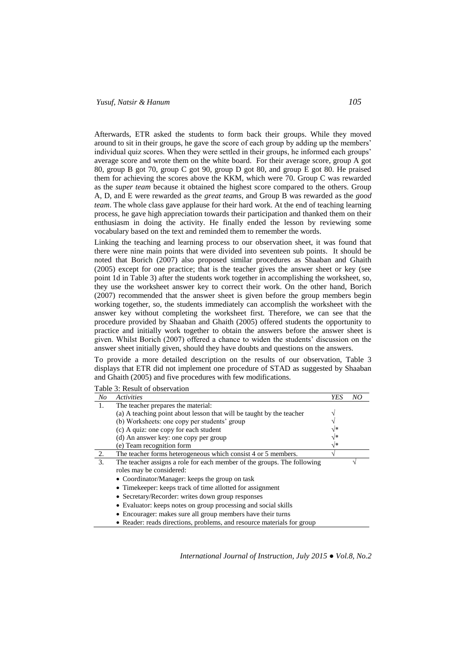Afterwards, ETR asked the students to form back their groups. While they moved around to sit in their groups, he gave the score of each group by adding up the members' individual quiz scores. When they were settled in their groups, he informed each groups' average score and wrote them on the white board. For their average score, group A got 80, group B got 70, group C got 90, group D got 80, and group E got 80. He praised them for achieving the scores above the KKM, which were 70. Group C was rewarded as the *super team* because it obtained the highest score compared to the others. Group A, D, and E were rewarded as the *great teams*, and Group B was rewarded as the *good team*. The whole class gave applause for their hard work. At the end of teaching learning process, he gave high appreciation towards their participation and thanked them on their enthusiasm in doing the activity. He finally ended the lesson by reviewing some vocabulary based on the text and reminded them to remember the words.

Linking the teaching and learning process to our observation sheet, it was found that there were nine main points that were divided into seventeen sub points. It should be noted that Borich (2007) also proposed similar procedures as Shaaban and Ghaith (2005) except for one practice; that is the teacher gives the answer sheet or key (see point 1d in Table 3) after the students work together in accomplishing the worksheet, so, they use the worksheet answer key to correct their work. On the other hand, Borich (2007) recommended that the answer sheet is given before the group members begin working together, so, the students immediately can accomplish the worksheet with the answer key without completing the worksheet first. Therefore, we can see that the procedure provided by Shaaban and Ghaith (2005) offered students the opportunity to practice and initially work together to obtain the answers before the answer sheet is given. Whilst Borich (2007) offered a chance to widen the students' discussion on the answer sheet initially given, should they have doubts and questions on the answers.

To provide a more detailed description on the results of our observation, Table 3 displays that ETR did not implement one procedure of STAD as suggested by Shaaban and Ghaith (2005) and five procedures with few modifications.

| No | <b>Activities</b>                                                       | <b>YES</b> | NO |
|----|-------------------------------------------------------------------------|------------|----|
| 1. | The teacher prepares the material:                                      |            |    |
|    | (a) A teaching point about lesson that will be taught by the teacher    |            |    |
|    | (b) Worksheets: one copy per students' group                            |            |    |
|    | (c) A quiz: one copy for each student                                   | $\sqrt{*}$ |    |
|    | (d) An answer key: one copy per group                                   | $\sqrt{*}$ |    |
|    | (e) Team recognition form                                               | √*         |    |
| 2. | The teacher forms heterogeneous which consist 4 or 5 members.           |            |    |
| 3. | The teacher assigns a role for each member of the groups. The following |            |    |
|    | roles may be considered:                                                |            |    |
|    | • Coordinator/Manager: keeps the group on task                          |            |    |
|    | • Time keeper: keeps track of time allotted for assignment              |            |    |
|    | • Secretary/Recorder: writes down group responses                       |            |    |
|    | • Evaluator: keeps notes on group processing and social skills          |            |    |
|    | • Encourager: makes sure all group members have their turns             |            |    |
|    | • Reader: reads directions, problems, and resource materials for group  |            |    |

Table 3: Result of observation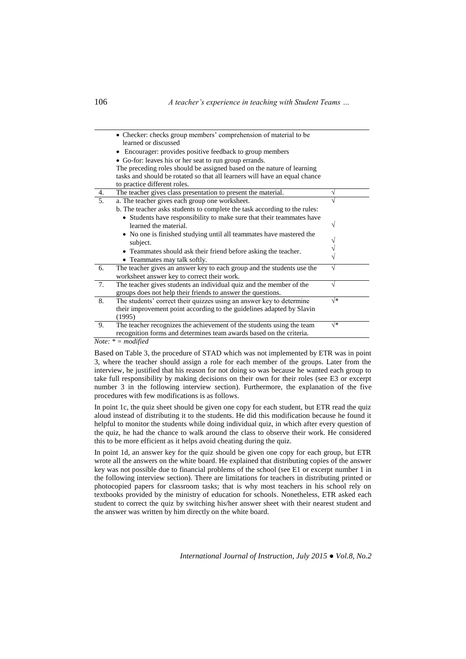|    | • Checker: checks group members' comprehension of material to be<br>learned or discussed<br>Encourager: provides positive feedback to group members<br>٠<br>• Go-for: leaves his or her seat to run group errands.<br>The preceding roles should be assigned based on the nature of learning |    |
|----|----------------------------------------------------------------------------------------------------------------------------------------------------------------------------------------------------------------------------------------------------------------------------------------------|----|
|    | tasks and should be rotated so that all learners will have an equal chance<br>to practice different roles.                                                                                                                                                                                   |    |
| 4. | The teacher gives class presentation to present the material.                                                                                                                                                                                                                                |    |
| 5. | a. The teacher gives each group one worksheet.<br>b. The teacher asks students to complete the task according to the rules:<br>• Students have responsibility to make sure that their teammates have                                                                                         |    |
|    | learned the material.<br>• No one is finished studying until all teammates have mastered the                                                                                                                                                                                                 |    |
|    | subject.                                                                                                                                                                                                                                                                                     |    |
|    | • Teammates should ask their friend before asking the teacher.<br>• Teammates may talk softly.                                                                                                                                                                                               |    |
| 6. | The teacher gives an answer key to each group and the students use the<br>worksheet answer key to correct their work.                                                                                                                                                                        |    |
| 7. | The teacher gives students an individual quiz and the member of the<br>groups does not help their friends to answer the questions.                                                                                                                                                           |    |
| 8. | The students' correct their quizzes using an answer key to determine<br>their improvement point according to the guidelines adapted by Slavin<br>(1995)                                                                                                                                      | √∗ |
| 9. | The teacher recognizes the achievement of the students using the team<br>recognition forms and determines team awards based on the criteria.                                                                                                                                                 | √∗ |

*Note: \* = modified*

Based on Table 3, the procedure of STAD which was not implemented by ETR was in point 3, where the teacher should assign a role for each member of the groups. Later from the interview, he justified that his reason for not doing so was because he wanted each group to take full responsibility by making decisions on their own for their roles (see E3 or excerpt number 3 in the following interview section). Furthermore, the explanation of the five procedures with few modifications is as follows.

In point 1c, the quiz sheet should be given one copy for each student, but ETR read the quiz aloud instead of distributing it to the students. He did this modification because he found it helpful to monitor the students while doing individual quiz, in which after every question of the quiz, he had the chance to walk around the class to observe their work. He considered this to be more efficient as it helps avoid cheating during the quiz.

In point 1d, an answer key for the quiz should be given one copy for each group, but ETR wrote all the answers on the white board. He explained that distributing copies of the answer key was not possible due to financial problems of the school (see E1 or excerpt number 1 in the following interview section). There are limitations for teachers in distributing printed or photocopied papers for classroom tasks; that is why most teachers in his school rely on textbooks provided by the ministry of education for schools. Nonetheless, ETR asked each student to correct the quiz by switching his/her answer sheet with their nearest student and the answer was written by him directly on the white board.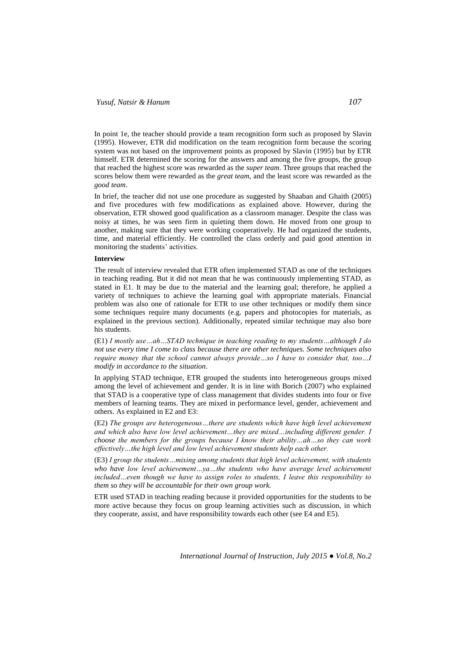In point 1e, the teacher should provide a team recognition form such as proposed by Slavin (1995). However, ETR did modification on the team recognition form because the scoring system was not based on the improvement points as proposed by Slavin (1995) but by ETR himself. ETR determined the scoring for the answers and among the five groups, the group that reached the highest score was rewarded as the *super team*. Three groups that reached the scores below them were rewarded as the *great team*, and the least score was rewarded as the *good team*.

In brief, the teacher did not use one procedure as suggested by Shaaban and Ghaith (2005) and five procedures with few modifications as explained above. However, during the observation, ETR showed good qualification as a classroom manager. Despite the class was noisy at times, he was seen firm in quieting them down. He moved from one group to another, making sure that they were working cooperatively. He had organized the students, time, and material efficiently. He controlled the class orderly and paid good attention in monitoring the students' activities.

#### **Interview**

The result of interview revealed that ETR often implemented STAD as one of the techniques in teaching reading. But it did not mean that he was continuously implementing STAD, as stated in E1. It may be due to the material and the learning goal; therefore, he applied a variety of techniques to achieve the learning goal with appropriate materials. Financial problem was also one of rationale for ETR to use other techniques or modify them since some techniques require many documents (e.g. papers and photocopies for materials, as explained in the previous section). Additionally, repeated similar technique may also bore his students.

(E1) *I mostly use…ah…STAD technique in teaching reading to my students…although I do not use every time I come to class because there are other techniques. Some techniques also require money that the school cannot always provide…so I have to consider that, too…I modify in accordance to the situation.* 

In applying STAD technique, ETR grouped the students into heterogeneous groups mixed among the level of achievement and gender. It is in line with Borich (2007) who explained that STAD is a cooperative type of class management that divides students into four or five members of learning teams. They are mixed in performance level, gender, achievement and others. As explained in E2 and E3:

(E2) *The groups are heterogeneous…there are students which have high level achievement and which also have low level achievement…they are mixed…including different gender. I choose the members for the groups because I know their ability…ah…so they can work effectively…the high level and low level achievement students help each other.*

(E3) *I group the students…mixing among students that high level achievement, with students who have low level achievement…ya…the students who have average level achievement included…even though we have to assign roles to students, I leave this responsibility to them so they will be accountable for their own group work.* 

ETR used STAD in teaching reading because it provided opportunities for the students to be more active because they focus on group learning activities such as discussion, in which they cooperate, assist, and have responsibility towards each other (see E4 and E5).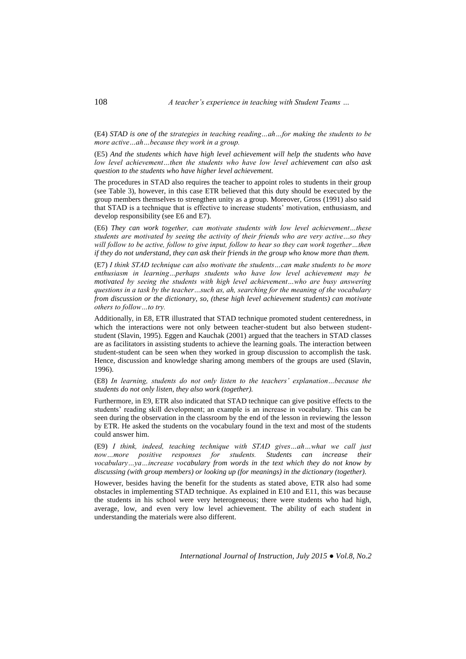(E4) *STAD is one of the strategies in teaching reading…ah…for making the students to be more active…ah…because they work in a group.*

(E5) *And the students which have high level achievement will help the students who have low level achievement…then the students who have low level achievement can also ask question to the students who have higher level achievement.*

The procedures in STAD also requires the teacher to appoint roles to students in their group (see Table 3), however, in this case ETR believed that this duty should be executed by the group members themselves to strengthen unity as a group. Moreover, Gross (1991) also said that STAD is a technique that is effective to increase students' motivation, enthusiasm, and develop responsibility (see E6 and E7).

(E6) *They can work together, can motivate students with low level achievement…these students are motivated by seeing the activity of their friends who are very active…so they will follow to be active, follow to give input, follow to hear so they can work together…then if they do not understand, they can ask their friends in the group who know more than them.*

(E7) *I think STAD technique can also motivate the students…can make students to be more enthusiasm in learning…perhaps students who have low level achievement may be motivated by seeing the students with high level achievement…who are busy answering questions in a task by the teacher…such as, ah, searching for the meaning of the vocabulary from discussion or the dictionary, so, (these high level achievement students) can motivate others to follow…to try.*

Additionally, in E8, ETR illustrated that STAD technique promoted student centeredness, in which the interactions were not only between teacher-student but also between studentstudent (Slavin, 1995). Eggen and Kauchak (2001) argued that the teachers in STAD classes are as facilitators in assisting students to achieve the learning goals. The interaction between student-student can be seen when they worked in group discussion to accomplish the task. Hence, discussion and knowledge sharing among members of the groups are used (Slavin, 1996).

(E8) *In learning, students do not only listen to the teachers' explanation…because the students do not only listen, they also work (together).*

Furthermore, in E9, ETR also indicated that STAD technique can give positive effects to the students' reading skill development; an example is an increase in vocabulary. This can be seen during the observation in the classroom by the end of the lesson in reviewing the lesson by ETR. He asked the students on the vocabulary found in the text and most of the students could answer him.

(E9) *I think, indeed, teaching technique with STAD gives…ah…what we call just now…more positive responses for students. Students can increase their vocabulary…ya…increase vocabulary from words in the text which they do not know by discussing (with group members) or looking up (for meanings) in the dictionary (together).*

However, besides having the benefit for the students as stated above, ETR also had some obstacles in implementing STAD technique. As explained in E10 and E11, this was because the students in his school were very heterogeneous; there were students who had high, average, low, and even very low level achievement. The ability of each student in understanding the materials were also different.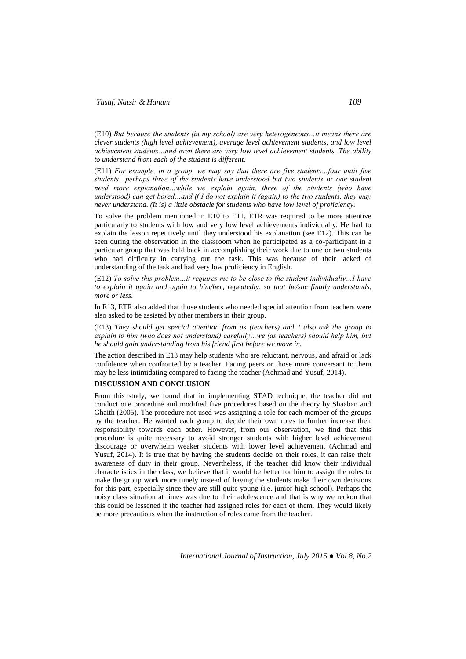(E10) *But because the students (in my school) are very heterogeneous…it means there are clever students (high level achievement), average level achievement students, and low level achievement students…and even there are very low level achievement students. The ability to understand from each of the student is different.*

(E11) *For example, in a group, we may say that there are five students…four until five students…perhaps three of the students have understood but two students or one student need more explanation…while we explain again, three of the students (who have understood) can get bored…and if I do not explain it (again) to the two students, they may never understand. (It is) a little obstacle for students who have low level of proficiency.*

To solve the problem mentioned in E10 to E11, ETR was required to be more attentive particularly to students with low and very low level achievements individually. He had to explain the lesson repetitively until they understood his explanation (see E12). This can be seen during the observation in the classroom when he participated as a co-participant in a particular group that was held back in accomplishing their work due to one or two students who had difficulty in carrying out the task. This was because of their lacked of understanding of the task and had very low proficiency in English.

(E12) *To solve this problem…it requires me to be close to the student individually…I have to explain it again and again to him/her, repeatedly, so that he/she finally understands, more or less.*

In E13, ETR also added that those students who needed special attention from teachers were also asked to be assisted by other members in their group.

(E13) *They should get special attention from us (teachers) and I also ask the group to explain to him (who does not understand) carefully…we (as teachers) should help him, but he should gain understanding from his friend first before we move in.*

The action described in E13 may help students who are reluctant, nervous, and afraid or lack confidence when confronted by a teacher. Facing peers or those more conversant to them may be less intimidating compared to facing the teacher (Achmad and Yusuf, 2014).

## **DISCUSSION AND CONCLUSION**

From this study, we found that in implementing STAD technique, the teacher did not conduct one procedure and modified five procedures based on the theory by Shaaban and Ghaith (2005). The procedure not used was assigning a role for each member of the groups by the teacher. He wanted each group to decide their own roles to further increase their responsibility towards each other. However, from our observation, we find that this procedure is quite necessary to avoid stronger students with higher level achievement discourage or overwhelm weaker students with lower level achievement (Achmad and Yusuf, 2014). It is true that by having the students decide on their roles, it can raise their awareness of duty in their group. Nevertheless, if the teacher did know their individual characteristics in the class, we believe that it would be better for him to assign the roles to make the group work more timely instead of having the students make their own decisions for this part, especially since they are still quite young (i.e. junior high school). Perhaps the noisy class situation at times was due to their adolescence and that is why we reckon that this could be lessened if the teacher had assigned roles for each of them. They would likely be more precautious when the instruction of roles came from the teacher.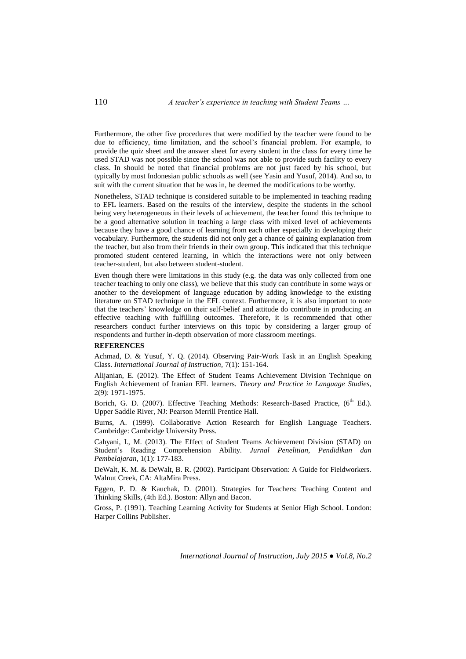Furthermore, the other five procedures that were modified by the teacher were found to be due to efficiency, time limitation, and the school's financial problem. For example, to provide the quiz sheet and the answer sheet for every student in the class for every time he used STAD was not possible since the school was not able to provide such facility to every class. In should be noted that financial problems are not just faced by his school, but typically by most Indonesian public schools as well (see Yasin and Yusuf, 2014). And so, to suit with the current situation that he was in, he deemed the modifications to be worthy.

Nonetheless, STAD technique is considered suitable to be implemented in teaching reading to EFL learners. Based on the results of the interview, despite the students in the school being very heterogeneous in their levels of achievement, the teacher found this technique to be a good alternative solution in teaching a large class with mixed level of achievements because they have a good chance of learning from each other especially in developing their vocabulary. Furthermore, the students did not only get a chance of gaining explanation from the teacher, but also from their friends in their own group. This indicated that this technique promoted student centered learning, in which the interactions were not only between teacher-student, but also between student-student.

Even though there were limitations in this study (e.g. the data was only collected from one teacher teaching to only one class), we believe that this study can contribute in some ways or another to the development of language education by adding knowledge to the existing literature on STAD technique in the EFL context. Furthermore, it is also important to note that the teachers' knowledge on their self-belief and attitude do contribute in producing an effective teaching with fulfilling outcomes. Therefore, it is recommended that other researchers conduct further interviews on this topic by considering a larger group of respondents and further in-depth observation of more classroom meetings.

#### **REFERENCES**

Achmad, D. & Yusuf, Y. Q. (2014). Observing Pair-Work Task in an English Speaking Class. *International Journal of Instruction,* 7(1): 151-164.

Alijanian, E. (2012). The Effect of Student Teams Achievement Division Technique on English Achievement of Iranian EFL learners. *Theory and Practice in Language Studies,* 2(9): 1971-1975.

Borich, G. D. (2007). Effective Teaching Methods: Research-Based Practice, (6<sup>th</sup> Ed.). Upper Saddle River, NJ: Pearson Merrill Prentice Hall.

Burns, A. (1999). Collaborative Action Research for English Language Teachers. Cambridge: Cambridge University Press.

Cahyani, I., M. (2013). The Effect of Student Teams Achievement Division (STAD) on Student's Reading Comprehension Ability. *Jurnal Penelitian, Pendidikan dan Pembelajaran,* 1(1): 177-183.

DeWalt, K. M. & DeWalt, B. R. (2002). Participant Observation: A Guide for Fieldworkers. Walnut Creek, CA: AltaMira Press.

Eggen, P. D. & Kauchak, D. (2001). Strategies for Teachers: Teaching Content and Thinking Skills, (4th Ed.). Boston: Allyn and Bacon.

Gross, P. (1991). Teaching Learning Activity for Students at Senior High School. London: Harper Collins Publisher.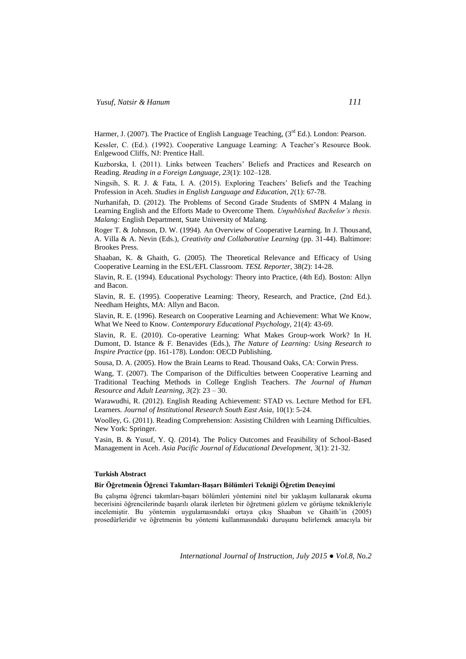Harmer, J. (2007). The Practice of English Language Teaching,  $(3<sup>rd</sup> Ed.)$ . London: Pearson.

Kessler, C. (Ed.). (1992). Cooperative Language Learning: A Teacher's Resource Book. Enlgewood Cliffs, NJ: Prentice Hall.

Kuzborska, I. (2011). Links between Teachers' Beliefs and Practices and Research on Reading. *Reading in a Foreign Language, 23*(1): 102–128.

Ningsih, S. R. J. & Fata, I. A. (2015). Exploring Teachers' Beliefs and the Teaching Profession in Aceh. *Studies in English Language and Education, 2*(1): 67-78.

Nurhanifah, D. (2012). The Problems of Second Grade Students of SMPN 4 Malang in Learning English and the Efforts Made to Overcome Them. *Unpublished Bachelor's thesis. Malang:* English Department, State University of Malang.

Roger T. & Johnson, D. W. (1994). An Overview of Cooperative Learning. In J. Thousand, A. Villa & A. Nevin (Eds.), *Creativity and Collaborative Learning* (pp. 31-44). Baltimore: Brookes Press.

Shaaban, K. & Ghaith, G. (2005). The Theoretical Relevance and Efficacy of Using Cooperative Learning in the ESL/EFL Classroom. *TESL Reporter*, 38(2): 14-28.

Slavin, R. E. (1994). Educational Psychology: Theory into Practice, (4th Ed). Boston: Allyn and Bacon.

Slavin, R. E. (1995). Cooperative Learning: Theory, Research, and Practice, (2nd Ed.). Needham Heights, MA: Allyn and Bacon.

Slavin, R. E. (1996). Research on Cooperative Learning and Achievement: What We Know, What We Need to Know. *Contemporary Educational Psychology,* 21(4): 43-69.

Slavin, R. E. (2010). Co-operative Learning: What Makes Group-work Work? In H. Dumont, D. Istance & F. Benavides (Eds.), *The Nature of Learning: Using Research to Inspire Practice* (pp. 161-178). London: OECD Publishing.

Sousa, D. A. (2005). How the Brain Learns to Read. Thousand Oaks, CA: Corwin Press.

Wang, T. (2007). The Comparison of the Difficulties between Cooperative Learning and Traditional Teaching Methods in College English Teachers. *The Journal of Human Resource and Adult Learning, 3*(2): 23 – 30.

Warawudhi, R. (2012). English Reading Achievement: STAD vs. Lecture Method for EFL Learners. *Journal of Institutional Research South East Asia*, 10(1): 5-24.

Woolley, G. (2011). Reading Comprehension: Assisting Children with Learning Difficulties. New York: Springer.

Yasin, B. & Yusuf, Y. Q. (2014). The Policy Outcomes and Feasibility of School-Based Management in Aceh. *Asia Pacific Journal of Educational Development,* 3(1): 21-32.

## **Turkish Abstract**

#### **Bir Öğretmenin Öğrenci Takımları-Başarı Bölümleri Tekniği Öğretim Deneyimi**

Bu çalışma öğrenci takımları-başarı bölümleri yöntemini nitel bir yaklaşım kullanarak okuma becerisini öğrencilerinde başarılı olarak ilerleten bir öğretmeni gözlem ve görüşme teknikleriyle incelemiştir. Bu yöntemin uygulamasındaki ortaya çıkış Shaaban ve Ghaith'in (2005) prosedürleridir ve öğretmenin bu yöntemi kullanmasındaki duruşunu belirlemek amacıyla bir